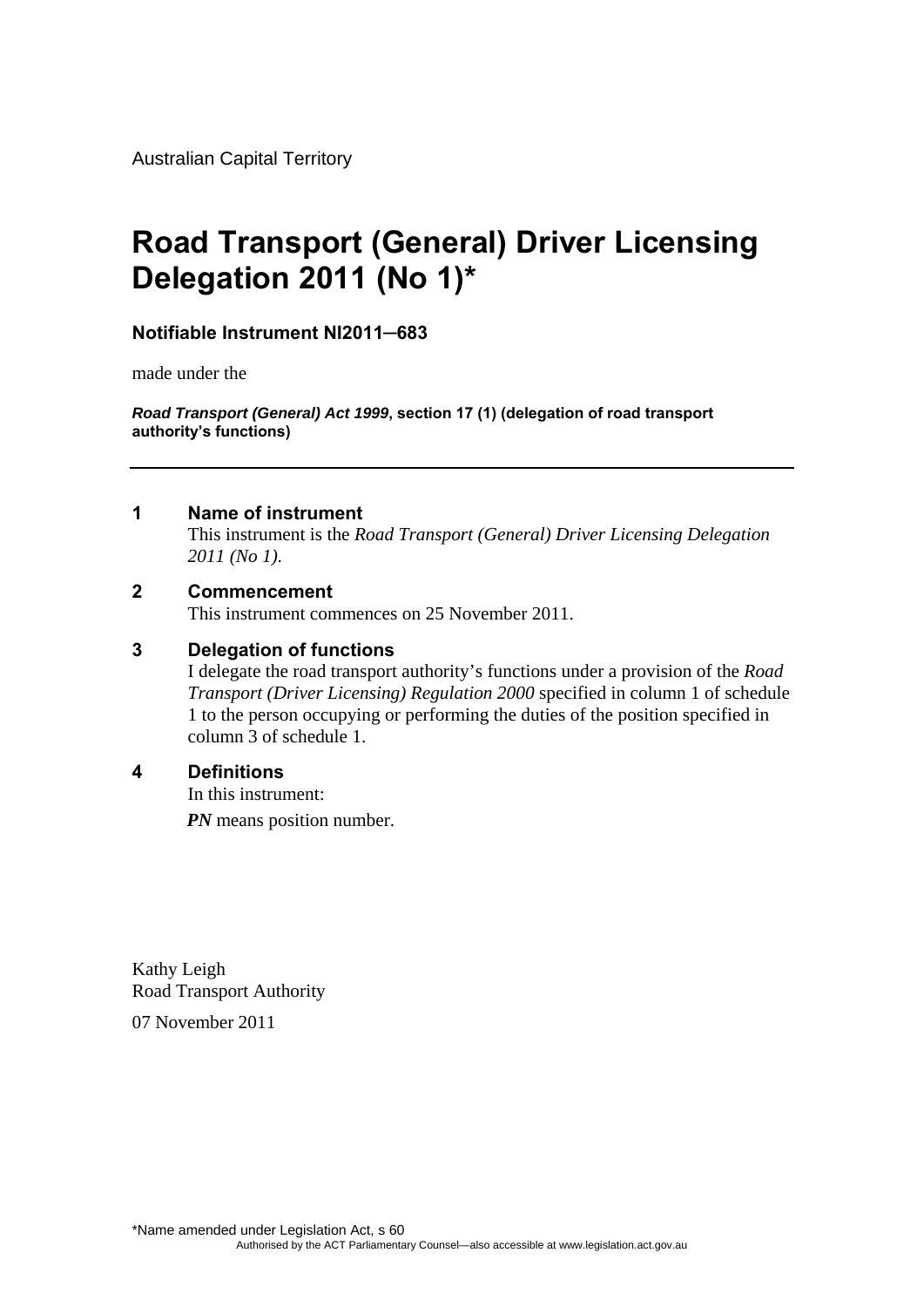Australian Capital Territory

# **Road Transport (General) Driver Licensing Delegation 2011 (No 1)\***

### **Notifiable Instrument NI2011─683**

made under the

*Road Transport (General) Act 1999***, section 17 (1) (delegation of road transport authority's functions)**

#### **1 Name of instrument**

This instrument is the *Road Transport (General) Driver Licensing Delegation 2011 (No 1)*.

#### **2 Commencement**

This instrument commences on 25 November 2011.

#### **3 Delegation of functions**

I delegate the road transport authority's functions under a provision of the *Road Transport (Driver Licensing) Regulation 2000* specified in column 1 of schedule 1 to the person occupying or performing the duties of the position specified in column 3 of schedule 1.

#### **4 Definitions**

In this instrument: *PN* means position number.

Kathy Leigh Road Transport Authority 07 November 2011